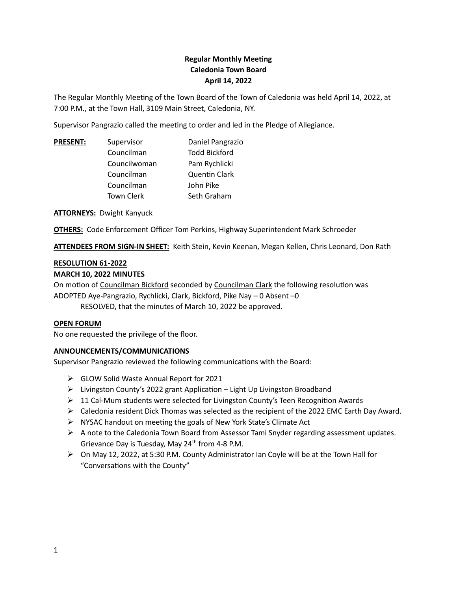# **Regular Monthly Meeting Caledonia Town Board April 14, 2022**

The Regular Monthly Meeting of the Town Board of the Town of Caledonia was held April 14, 2022, at 7:00 P.M., at the Town Hall, 3109 Main Street, Caledonia, NY.

Supervisor Pangrazio called the meeting to order and led in the Pledge of Allegiance.

| <b>PRESENT:</b> | Supervisor        | Daniel Pangrazio     |
|-----------------|-------------------|----------------------|
|                 | Councilman        | <b>Todd Bickford</b> |
|                 | Councilwoman      | Pam Rychlicki        |
|                 | Councilman        | <b>Quentin Clark</b> |
|                 | Councilman        | John Pike            |
|                 | <b>Town Clerk</b> | Seth Graham          |

**ATTORNEYS:** Dwight Kanyuck

**OTHERS:** Code Enforcement Officer Tom Perkins, Highway Superintendent Mark Schroeder

**ATTENDEES FROM SIGN-IN SHEET:** Keith Stein, Kevin Keenan, Megan Kellen, Chris Leonard, Don Rath

#### **RESOLUTION 61-2022**

#### **MARCH 10, 2022 MINUTES**

On motion of Councilman Bickford seconded by Councilman Clark the following resolution was ADOPTED Aye-Pangrazio, Rychlicki, Clark, Bickford, Pike Nay – 0 Absent –0

RESOLVED, that the minutes of March 10, 2022 be approved.

#### **OPEN FORUM**

No one requested the privilege of the floor.

# **ANNOUNCEMENTS/COMMUNICATIONS**

Supervisor Pangrazio reviewed the following communications with the Board:

- ➢ GLOW Solid Waste Annual Report for 2021
- ➢ Livingston County's 2022 grant Application Light Up Livingston Broadband
- $\triangleright$  11 Cal-Mum students were selected for Livingston County's Teen Recognition Awards
- ➢ Caledonia resident Dick Thomas was selected as the recipient of the 2022 EMC Earth Day Award.
- ➢ NYSAC handout on meeting the goals of New York State's Climate Act
- ➢ A note to the Caledonia Town Board from Assessor Tami Snyder regarding assessment updates. Grievance Day is Tuesday, May 24<sup>th</sup> from 4-8 P.M.
- ➢ On May 12, 2022, at 5:30 P.M. County Administrator Ian Coyle will be at the Town Hall for "Conversations with the County"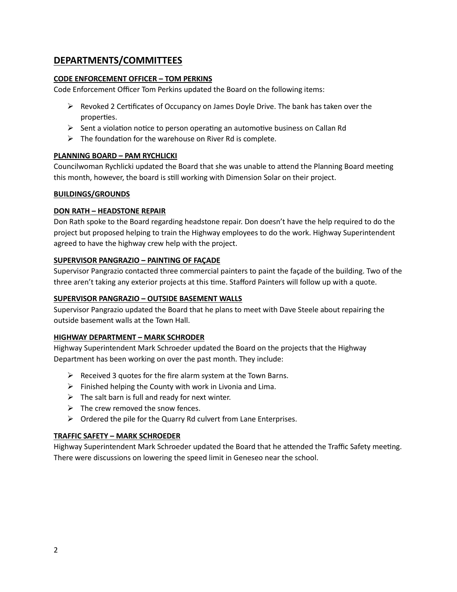# **DEPARTMENTS/COMMITTEES**

### **CODE ENFORCEMENT OFFICER – TOM PERKINS**

Code Enforcement Officer Tom Perkins updated the Board on the following items:

- $\triangleright$  Revoked 2 Certificates of Occupancy on James Doyle Drive. The bank has taken over the properties.
- $\triangleright$  Sent a violation notice to person operating an automotive business on Callan Rd
- $\triangleright$  The foundation for the warehouse on River Rd is complete.

#### **PLANNING BOARD – PAM RYCHLICKI**

Councilwoman Rychlicki updated the Board that she was unable to attend the Planning Board meeting this month, however, the board is still working with Dimension Solar on their project.

#### **BUILDINGS/GROUNDS**

#### **DON RATH – HEADSTONE REPAIR**

Don Rath spoke to the Board regarding headstone repair. Don doesn't have the help required to do the project but proposed helping to train the Highway employees to do the work. Highway Superintendent agreed to have the highway crew help with the project.

#### **SUPERVISOR PANGRAZIO – PAINTING OF FAÇADE**

Supervisor Pangrazio contacted three commercial painters to paint the façade of the building. Two of the three aren't taking any exterior projects at this time. Stafford Painters will follow up with a quote.

#### **SUPERVISOR PANGRAZIO – OUTSIDE BASEMENT WALLS**

Supervisor Pangrazio updated the Board that he plans to meet with Dave Steele about repairing the outside basement walls at the Town Hall.

#### **HIGHWAY DEPARTMENT – MARK SCHRODER**

Highway Superintendent Mark Schroeder updated the Board on the projects that the Highway Department has been working on over the past month. They include:

- $\triangleright$  Received 3 quotes for the fire alarm system at the Town Barns.
- $\triangleright$  Finished helping the County with work in Livonia and Lima.
- $\triangleright$  The salt barn is full and ready for next winter.
- $\triangleright$  The crew removed the snow fences.
- $\triangleright$  Ordered the pile for the Quarry Rd culvert from Lane Enterprises.

#### **TRAFFIC SAFETY – MARK SCHROEDER**

Highway Superintendent Mark Schroeder updated the Board that he attended the Traffic Safety meeting. There were discussions on lowering the speed limit in Geneseo near the school.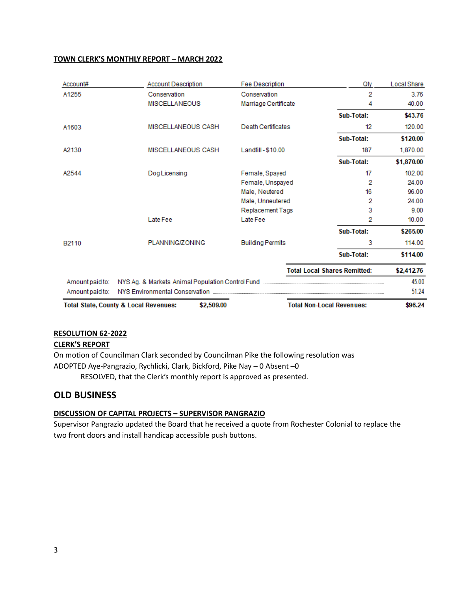#### **TOWN CLERK'S MONTHLY REPORT – MARCH 2022**

| Account#        | <b>Account Description</b>                                     | <b>Fee Description</b>  | Qty                                 | <b>Local Share</b> |
|-----------------|----------------------------------------------------------------|-------------------------|-------------------------------------|--------------------|
| A1255           | Conservation                                                   | Conservation            | 2                                   | 3.76               |
|                 | <b>MISCELLANEOUS</b>                                           | Marriage Certificate    | 4                                   | 40.00              |
|                 |                                                                |                         | Sub-Total:                          | \$43.76            |
| A1603           | MISCELLANEOUS CASH                                             | Death Certificates      | 12                                  | 120.00             |
|                 |                                                                |                         | Sub-Total:                          | \$120.00           |
| A2130           | MISCELLANEOUS CASH                                             | Landfill - \$10.00      | 187                                 | 1,870.00           |
|                 |                                                                |                         | Sub-Total:                          | \$1,870.00         |
| A2544           | Dog Licensing                                                  | Female, Spayed          | 17                                  | 102.00             |
|                 |                                                                | Female, Unspayed        | 2                                   | 24.00              |
|                 |                                                                | Male, Neutered          | 16                                  | 96.00              |
|                 |                                                                | Male, Unneutered        | 2                                   | 24.00              |
|                 |                                                                | <b>Replacement Tags</b> | 3                                   | 9.00               |
|                 | Late Fee                                                       | Late Fee                | 2                                   | 10.00              |
|                 |                                                                |                         | Sub-Total:                          | \$265.00           |
| B2110           | PLANNING/ZONING                                                | <b>Building Permits</b> | 3                                   | 114.00             |
|                 |                                                                |                         | Sub-Total:                          | \$114.00           |
|                 |                                                                |                         | <b>Total Local Shares Remitted:</b> | \$2,412.76         |
| Amount paid to: |                                                                |                         |                                     | 45.00              |
| Amount paid to: |                                                                |                         |                                     | 51.24              |
|                 | \$2,509.00<br><b>Total State, County &amp; Local Revenues:</b> |                         | <b>Total Non-Local Revenues:</b>    | \$96.24            |

#### **RESOLUTION 62-2022**

#### **CLERK'S REPORT**

On motion of Councilman Clark seconded by Councilman Pike the following resolution was ADOPTED Aye-Pangrazio, Rychlicki, Clark, Bickford, Pike Nay – 0 Absent –0 RESOLVED, that the Clerk's monthly report is approved as presented.

# **OLD BUSINESS**

# **DISCUSSION OF CAPITAL PROJECTS – SUPERVISOR PANGRAZIO**

Supervisor Pangrazio updated the Board that he received a quote from Rochester Colonial to replace the two front doors and install handicap accessible push buttons.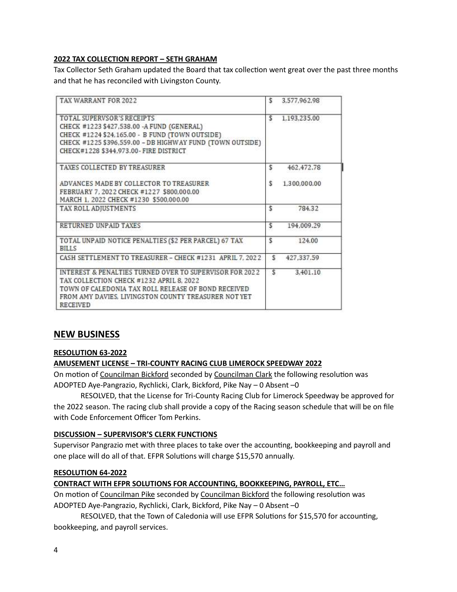#### **2022 TAX COLLECTION REPORT – SETH GRAHAM**

Tax Collector Seth Graham updated the Board that tax collection went great over the past three months and that he has reconciled with Livingston County.

| TAX WARRANT FOR 2022                                                                                                                                                                                                                  | S   | 3.577.962.98 |  |
|---------------------------------------------------------------------------------------------------------------------------------------------------------------------------------------------------------------------------------------|-----|--------------|--|
| TOTAL SUPERVSOR'S RECEIPTS<br>CHECK #1223 \$427,538.00 - A FUND (GENERAL)<br>CHECK #1224 \$24,165.00 - B FUND (TOWN OUTSIDE).<br>CHECK #1225 \$396,559.00 - DB HIGHWAY FUND (TOWN OUTSIDE)<br>CHECK#1228 \$344.973.00 - FIRE DISTRICT | s   | 1.193.235.00 |  |
| TAXES COLLECTED BY TREASURER                                                                                                                                                                                                          | \$  | 462.472.78   |  |
| ADVANCES MADE BY COLLECTOR TO TREASURER<br>FEBRUARY 7.2022 CHECK #1227 \$800.000.00<br>MARCH 1, 2022 CHECK #1230 \$500,000.00                                                                                                         | \$  | 1.300.000.00 |  |
| TAX ROLL ADJUSTMENTS                                                                                                                                                                                                                  | ŝ   | 784.32       |  |
| RETURNED UNPAID TAXES                                                                                                                                                                                                                 | \$  | 194.009.29   |  |
| TOTAL UNPAID NOTICE PENALTIES (\$2 PER PARCEL) 67 TAX<br><b>BILLS</b>                                                                                                                                                                 | Ŝ   | 124.00       |  |
| CASH SETTLEMENT TO TREASURER - CHECK #1231 APRIL 7, 2022                                                                                                                                                                              | \$  | 427.337.59   |  |
| INTEREST & PENALTIES TURNED OVER TO SUPERVISOR FOR 2022<br>TAX COLLECTION CHECK #1232 APRIL 8, 2022<br>TOWN OF CALEDONIA TAX ROLL RELEASE OF BOND RECEIVED<br>FROM AMY DAVIES. LIVINGSTON COUNTY TREASURER NOT YET<br><b>RECEIVED</b> | \$. | 3.401.10     |  |

# **NEW BUSINESS**

#### **RESOLUTION 63-2022**

#### **AMUSEMENT LICENSE – TRI-COUNTY RACING CLUB LIMEROCK SPEEDWAY 2022**

On motion of Councilman Bickford seconded by Councilman Clark the following resolution was ADOPTED Aye-Pangrazio, Rychlicki, Clark, Bickford, Pike Nay – 0 Absent –0

RESOLVED, that the License for Tri-County Racing Club for Limerock Speedway be approved for the 2022 season. The racing club shall provide a copy of the Racing season schedule that will be on file with Code Enforcement Officer Tom Perkins.

#### **DISCUSSION – SUPERVISOR'S CLERK FUNCTIONS**

Supervisor Pangrazio met with three places to take over the accounting, bookkeeping and payroll and one place will do all of that. EFPR Solutions will charge \$15,570 annually.

#### **RESOLUTION 64-2022**

#### **CONTRACT WITH EFPR SOLUTIONS FOR ACCOUNTING, BOOKKEEPING, PAYROLL, ETC…**

On motion of Councilman Pike seconded by Councilman Bickford the following resolution was ADOPTED Aye-Pangrazio, Rychlicki, Clark, Bickford, Pike Nay – 0 Absent –0

RESOLVED, that the Town of Caledonia will use EFPR Solutions for \$15,570 for accounting, bookkeeping, and payroll services.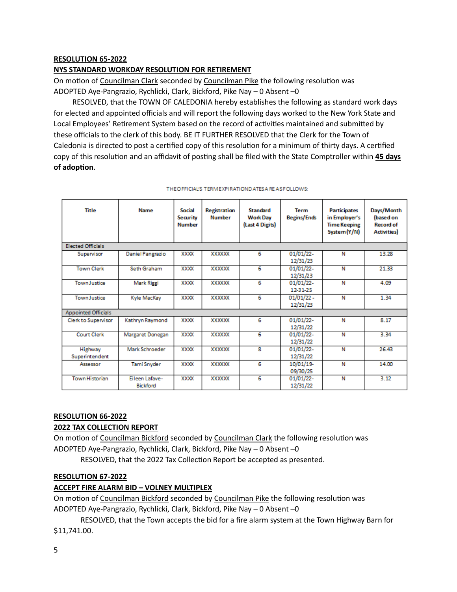#### **RESOLUTION 65-2022**

#### **NYS STANDARD WORKDAY RESOLUTION FOR RETIREMENT**

On motion of Councilman Clark seconded by Councilman Pike the following resolution was ADOPTED Aye-Pangrazio, Rychlicki, Clark, Bickford, Pike Nay – 0 Absent –0

 RESOLVED, that the TOWN OF CALEDONIA hereby establishes the following as standard work days for elected and appointed officials and will report the following days worked to the New York State and Local Employees' Retirement System based on the record of activities maintained and submitted by these officials to the clerk of this body. BE IT FURTHER RESOLVED that the Clerk for the Town of Caledonia is directed to post a certified copy of this resolution for a minimum of thirty days. A certified copy of this resolution and an affidavit of posting shall be filed with the State Comptroller within **45 days of adoption**.

| Title                      | Name                              | Social<br>Security<br><b>Number</b> | <b>Registration</b><br><b>Number</b> | Standard<br><b>Work Day</b><br>(Last 4 Digits) | Term<br><b>Begins/Ends</b> | <b>Participates</b><br>in Employer's<br><b>Time Keeping</b><br>System (Y/N) | Days/Month<br>(based on<br><b>Record of</b><br><b>Activities</b> ) |
|----------------------------|-----------------------------------|-------------------------------------|--------------------------------------|------------------------------------------------|----------------------------|-----------------------------------------------------------------------------|--------------------------------------------------------------------|
| <b>Elected Officials</b>   |                                   |                                     |                                      |                                                |                            |                                                                             |                                                                    |
| Supervisor                 | Daniel Pangrazio                  | XXXX                                | XXXXXX                               | 6                                              | 01/01/22-<br>12/31/23      | Ν                                                                           | 13.28                                                              |
| <b>Town Clerk</b>          | Seth Graham                       | XXXX                                | <b>XXXXXX</b>                        | 6                                              | 01/01/22-<br>12/31/23      | N                                                                           | 21.33                                                              |
| <b>Town Justice</b>        | Mark Riggi                        | XXXX                                | XXXXXX                               | 6                                              | 01/01/22-<br>12-31-25      | N                                                                           | 4.09                                                               |
| <b>Town Justice</b>        | Kyle MacKay                       | XXXX                                | <b>XXXXXX</b>                        | 6                                              | $01/01/22 -$<br>12/31/23   | Ν                                                                           | 1.34                                                               |
| <b>Appointed Officials</b> |                                   |                                     |                                      |                                                |                            |                                                                             |                                                                    |
| Clerk to Supervisor        | Kathryn Raymond                   | XXXX                                | <b>XXXXXX</b>                        | 6                                              | 01/01/22-<br>12/31/22      | Ν                                                                           | 8.17                                                               |
| <b>Court Clerk</b>         | Margaret Donegan                  | XXXX                                | <b>XXXXXX</b>                        | 6                                              | 01/01/22-<br>12/31/22      | N                                                                           | 3.34                                                               |
| Highway<br>Superintendent  | Mark Schroeder                    | XXXX                                | XXXXXX                               | 8                                              | 01/01/22-<br>12/31/22      | N                                                                           | 26.43                                                              |
| Assessor                   | Tami Snyder                       | <b>XXXX</b>                         | <b>XXXXXX</b>                        | 6                                              | 10/01/19-<br>09/30/25      | N                                                                           | 14.00                                                              |
| <b>Town Historian</b>      | Eileen Lafave-<br><b>Bickford</b> | <b>XXXX</b>                         | XXXXXX                               | 6                                              | 01/01/22-<br>12/31/22      | N                                                                           | 3.12                                                               |

|  | THEOFFICIAL'S TERM EXPIRATIOND ATES A RE AS FOLLOWS: |
|--|------------------------------------------------------|

# **RESOLUTION 66-2022**

#### **2022 TAX COLLECTION REPORT**

On motion of Councilman Bickford seconded by Councilman Clark the following resolution was ADOPTED Aye-Pangrazio, Rychlicki, Clark, Bickford, Pike Nay – 0 Absent –0

RESOLVED, that the 2022 Tax Collection Report be accepted as presented.

#### **RESOLUTION 67-2022**

#### **ACCEPT FIRE ALARM BID – VOLNEY MULTIPLEX**

On motion of Councilman Bickford seconded by Councilman Pike the following resolution was ADOPTED Aye-Pangrazio, Rychlicki, Clark, Bickford, Pike Nay – 0 Absent –0

RESOLVED, that the Town accepts the bid for a fire alarm system at the Town Highway Barn for \$11,741.00.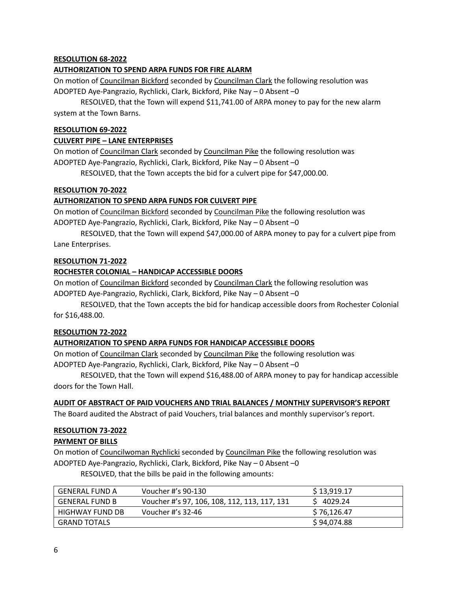#### **RESOLUTION 68-2022**

#### **AUTHORIZATION TO SPEND ARPA FUNDS FOR FIRE ALARM**

On motion of Councilman Bickford seconded by Councilman Clark the following resolution was ADOPTED Aye-Pangrazio, Rychlicki, Clark, Bickford, Pike Nay – 0 Absent –0

RESOLVED, that the Town will expend \$11,741.00 of ARPA money to pay for the new alarm system at the Town Barns.

#### **RESOLUTION 69-2022**

#### **CULVERT PIPE – LANE ENTERPRISES**

On motion of Councilman Clark seconded by Councilman Pike the following resolution was ADOPTED Aye-Pangrazio, Rychlicki, Clark, Bickford, Pike Nay – 0 Absent –0

RESOLVED, that the Town accepts the bid for a culvert pipe for \$47,000.00.

#### **RESOLUTION 70-2022**

# **AUTHORIZATION TO SPEND ARPA FUNDS FOR CULVERT PIPE**

On motion of Councilman Bickford seconded by Councilman Pike the following resolution was ADOPTED Aye-Pangrazio, Rychlicki, Clark, Bickford, Pike Nay – 0 Absent –0

RESOLVED, that the Town will expend \$47,000.00 of ARPA money to pay for a culvert pipe from Lane Enterprises.

#### **RESOLUTION 71-2022**

#### **ROCHESTER COLONIAL – HANDICAP ACCESSIBLE DOORS**

On motion of Councilman Bickford seconded by Councilman Clark the following resolution was ADOPTED Aye-Pangrazio, Rychlicki, Clark, Bickford, Pike Nay – 0 Absent –0

RESOLVED, that the Town accepts the bid for handicap accessible doors from Rochester Colonial for \$16,488.00.

#### **RESOLUTION 72-2022**

# **AUTHORIZATION TO SPEND ARPA FUNDS FOR HANDICAP ACCESSIBLE DOORS**

On motion of Councilman Clark seconded by Councilman Pike the following resolution was ADOPTED Aye-Pangrazio, Rychlicki, Clark, Bickford, Pike Nay – 0 Absent –0

RESOLVED, that the Town will expend \$16,488.00 of ARPA money to pay for handicap accessible doors for the Town Hall.

#### **AUDIT OF ABSTRACT OF PAID VOUCHERS AND TRIAL BALANCES / MONTHLY SUPERVISOR'S REPORT**

The Board audited the Abstract of paid Vouchers, trial balances and monthly supervisor's report.

# **RESOLUTION 73-2022**

**PAYMENT OF BILLS**

On motion of Councilwoman Rychlicki seconded by Councilman Pike the following resolution was ADOPTED Aye-Pangrazio, Rychlicki, Clark, Bickford, Pike Nay – 0 Absent –0

RESOLVED, that the bills be paid in the following amounts:

| <b>GENERAL FUND A</b>  | Voucher #'s 90-130                           | \$13,919.17 |
|------------------------|----------------------------------------------|-------------|
| <b>GENERAL FUND B</b>  | Voucher #'s 97, 106, 108, 112, 113, 117, 131 | S 4029.24   |
| <b>HIGHWAY FUND DB</b> | Voucher #'s 32-46                            | \$76,126.47 |
| <b>GRAND TOTALS</b>    |                                              | \$94,074.88 |